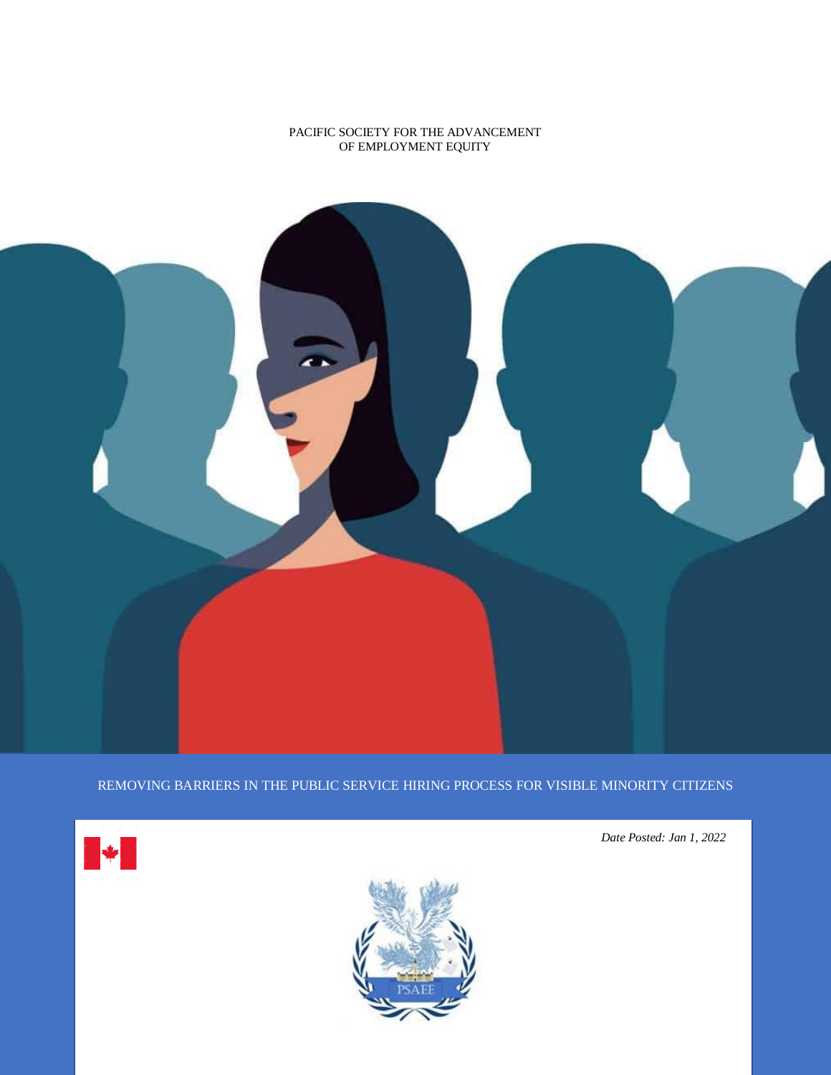## PACIFIC SOCIETY FOR THE ADVANCEMENT OF EMPLOYMENT EQUITY



REMOVING BARRIERS IN THE PUBLIC SERVICE HIRING PROCESS FOR VISIBLE MINORITY CITIZENS





*Date Posted: Jan 1, 2022*